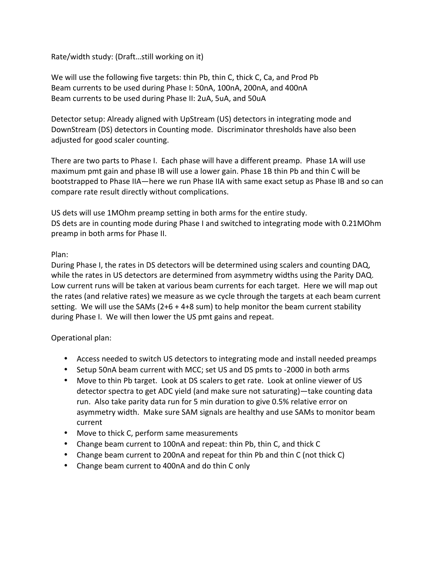Rate/width study: (Draft...still working on it)

We will use the following five targets: thin Pb, thin C, thick C, Ca, and Prod Pb Beam currents to be used during Phase I: 50nA, 100nA, 200nA, and 400nA Beam currents to be used during Phase II: 2uA, 5uA, and 50uA

Detector setup: Already aligned with UpStream (US) detectors in integrating mode and DownStream (DS) detectors in Counting mode. Discriminator thresholds have also been adjusted for good scaler counting.

There are two parts to Phase I. Each phase will have a different preamp. Phase 1A will use maximum pmt gain and phase IB will use a lower gain. Phase 1B thin Pb and thin C will be bootstrapped to Phase IIA—here we run Phase IIA with same exact setup as Phase IB and so can compare rate result directly without complications.

US dets will use 1MOhm preamp setting in both arms for the entire study. DS dets are in counting mode during Phase I and switched to integrating mode with 0.21MOhm preamp in both arms for Phase II.

## Plan:

During Phase I, the rates in DS detectors will be determined using scalers and counting DAQ, while the rates in US detectors are determined from asymmetry widths using the Parity DAQ. Low current runs will be taken at various beam currents for each target. Here we will map out the rates (and relative rates) we measure as we cycle through the targets at each beam current setting. We will use the SAMs  $(2+6 + 4+8 \text{ sum})$  to help monitor the beam current stability during Phase I. We will then lower the US pmt gains and repeat.

## Operational plan:

- Access needed to switch US detectors to integrating mode and install needed preamps
- Setup 50nA beam current with MCC; set US and DS pmts to -2000 in both arms
- Move to thin Pb target. Look at DS scalers to get rate. Look at online viewer of US detector spectra to get ADC yield (and make sure not saturating)—take counting data run. Also take parity data run for 5 min duration to give 0.5% relative error on asymmetry width. Make sure SAM signals are healthy and use SAMs to monitor beam current
- Move to thick C, perform same measurements
- Change beam current to 100nA and repeat: thin Pb, thin C, and thick C
- Change beam current to 200nA and repeat for thin Pb and thin C (not thick C)
- Change beam current to 400nA and do thin C only